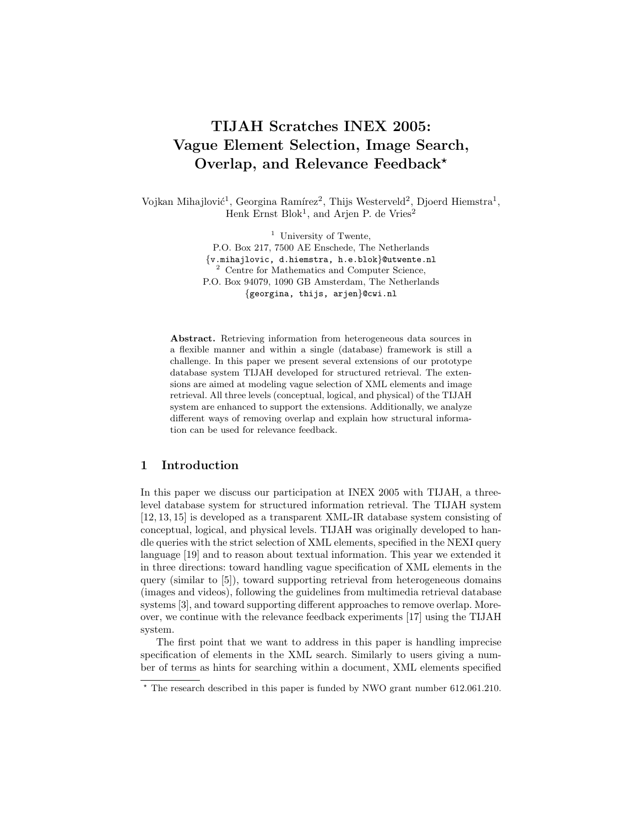# TIJAH Scratches INEX 2005: Vague Element Selection, Image Search, Overlap, and Relevance Feedback<sup>\*</sup>

Vojkan Mihajlović<sup>1</sup>, Georgina Ramírez<sup>2</sup>, Thijs Westerveld<sup>2</sup>, Djoerd Hiemstra<sup>1</sup>, Henk Ernst Blok<sup>1</sup>, and Arjen P. de Vries<sup>2</sup>

> <sup>1</sup> University of Twente, P.O. Box 217, 7500 AE Enschede, The Netherlands {v.mihajlovic, d.hiemstra, h.e.blok}@utwente.nl <sup>2</sup> Centre for Mathematics and Computer Science, P.O. Box 94079, 1090 GB Amsterdam, The Netherlands {georgina, thijs, arjen}@cwi.nl

Abstract. Retrieving information from heterogeneous data sources in a flexible manner and within a single (database) framework is still a challenge. In this paper we present several extensions of our prototype database system TIJAH developed for structured retrieval. The extensions are aimed at modeling vague selection of XML elements and image retrieval. All three levels (conceptual, logical, and physical) of the TIJAH system are enhanced to support the extensions. Additionally, we analyze different ways of removing overlap and explain how structural information can be used for relevance feedback.

# 1 Introduction

In this paper we discuss our participation at INEX 2005 with TIJAH, a threelevel database system for structured information retrieval. The TIJAH system [12, 13, 15] is developed as a transparent XML-IR database system consisting of conceptual, logical, and physical levels. TIJAH was originally developed to handle queries with the strict selection of XML elements, specified in the NEXI query language [19] and to reason about textual information. This year we extended it in three directions: toward handling vague specification of XML elements in the query (similar to [5]), toward supporting retrieval from heterogeneous domains (images and videos), following the guidelines from multimedia retrieval database systems [3], and toward supporting different approaches to remove overlap. Moreover, we continue with the relevance feedback experiments [17] using the TIJAH system.

The first point that we want to address in this paper is handling imprecise specification of elements in the XML search. Similarly to users giving a number of terms as hints for searching within a document, XML elements specified

<sup>?</sup> The research described in this paper is funded by NWO grant number 612.061.210.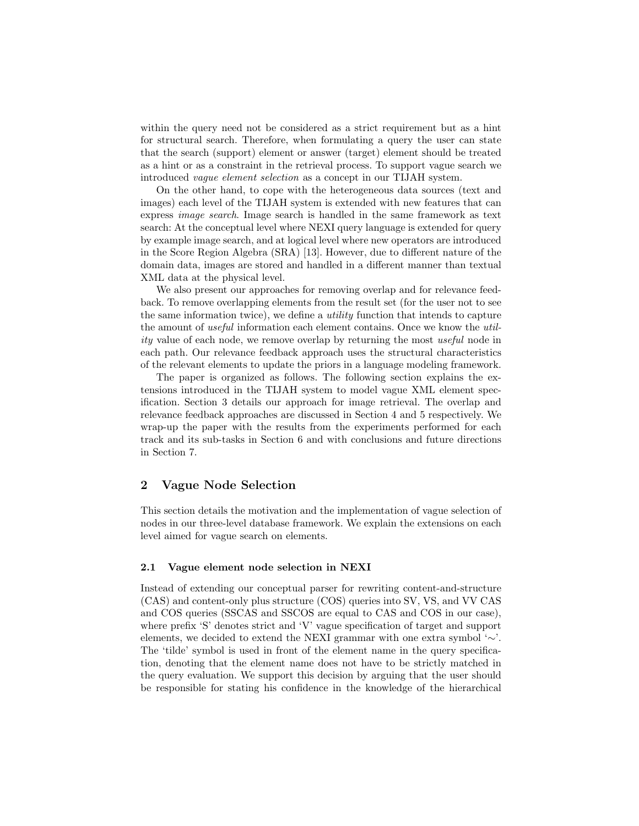within the query need not be considered as a strict requirement but as a hint for structural search. Therefore, when formulating a query the user can state that the search (support) element or answer (target) element should be treated as a hint or as a constraint in the retrieval process. To support vague search we introduced vague element selection as a concept in our TIJAH system.

On the other hand, to cope with the heterogeneous data sources (text and images) each level of the TIJAH system is extended with new features that can express image search. Image search is handled in the same framework as text search: At the conceptual level where NEXI query language is extended for query by example image search, and at logical level where new operators are introduced in the Score Region Algebra (SRA) [13]. However, due to different nature of the domain data, images are stored and handled in a different manner than textual XML data at the physical level.

We also present our approaches for removing overlap and for relevance feedback. To remove overlapping elements from the result set (for the user not to see the same information twice), we define a utility function that intends to capture the amount of *useful* information each element contains. Once we know the *util*ity value of each node, we remove overlap by returning the most useful node in each path. Our relevance feedback approach uses the structural characteristics of the relevant elements to update the priors in a language modeling framework.

The paper is organized as follows. The following section explains the extensions introduced in the TIJAH system to model vague XML element specification. Section 3 details our approach for image retrieval. The overlap and relevance feedback approaches are discussed in Section 4 and 5 respectively. We wrap-up the paper with the results from the experiments performed for each track and its sub-tasks in Section 6 and with conclusions and future directions in Section 7.

# 2 Vague Node Selection

This section details the motivation and the implementation of vague selection of nodes in our three-level database framework. We explain the extensions on each level aimed for vague search on elements.

### 2.1 Vague element node selection in NEXI

Instead of extending our conceptual parser for rewriting content-and-structure (CAS) and content-only plus structure (COS) queries into SV, VS, and VV CAS and COS queries (SSCAS and SSCOS are equal to CAS and COS in our case), where prefix 'S' denotes strict and 'V' vague specification of target and support elements, we decided to extend the NEXI grammar with one extra symbol '∼'. The 'tilde' symbol is used in front of the element name in the query specification, denoting that the element name does not have to be strictly matched in the query evaluation. We support this decision by arguing that the user should be responsible for stating his confidence in the knowledge of the hierarchical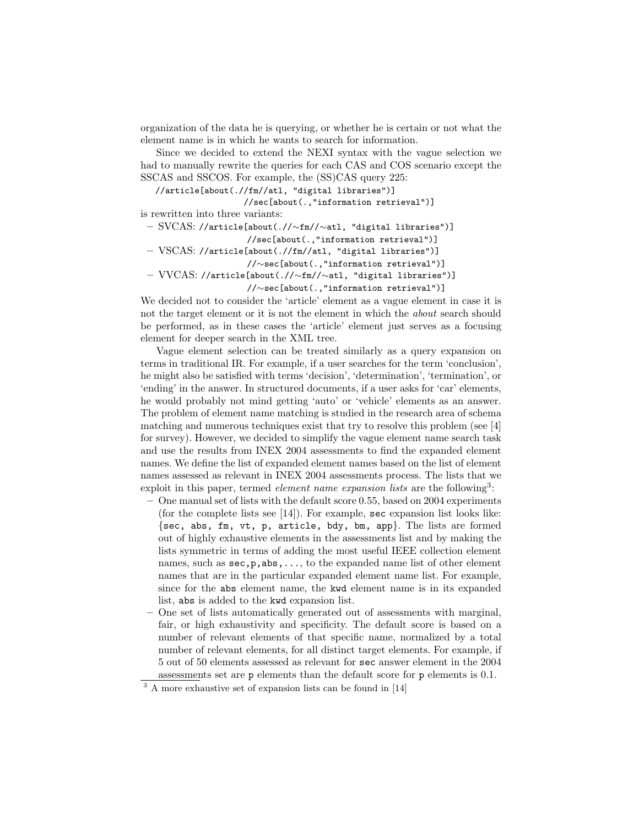organization of the data he is querying, or whether he is certain or not what the element name is in which he wants to search for information.

Since we decided to extend the NEXI syntax with the vague selection we had to manually rewrite the queries for each CAS and COS scenario except the SSCAS and SSCOS. For example, the (SS)CAS query 225:

//article[about(.//fm//atl, "digital libraries")]

//sec[about(.,"information retrieval")]

is rewritten into three variants:

– SVCAS: //article[about(.//∼fm//∼atl, "digital libraries")] //sec[about(.,"information retrieval")] – VSCAS: //article[about(.//fm//atl, "digital libraries")] //∼sec[about(.,"information retrieval")] – VVCAS: //article[about(.//∼fm//∼atl, "digital libraries")] //∼sec[about(.,"information retrieval")]

We decided not to consider the 'article' element as a vague element in case it is not the target element or it is not the element in which the *about* search should be performed, as in these cases the 'article' element just serves as a focusing element for deeper search in the XML tree.

Vague element selection can be treated similarly as a query expansion on terms in traditional IR. For example, if a user searches for the term 'conclusion', he might also be satisfied with terms 'decision', 'determination', 'termination', or 'ending' in the answer. In structured documents, if a user asks for 'car' elements, he would probably not mind getting 'auto' or 'vehicle' elements as an answer. The problem of element name matching is studied in the research area of schema matching and numerous techniques exist that try to resolve this problem (see [4] for survey). However, we decided to simplify the vague element name search task and use the results from INEX 2004 assessments to find the expanded element names. We define the list of expanded element names based on the list of element names assessed as relevant in INEX 2004 assessments process. The lists that we exploit in this paper, termed *element name expansion lists* are the following<sup>3</sup>:

- One manual set of lists with the default score 0.55, based on 2004 experiments (for the complete lists see [14]). For example, sec expansion list looks like:  $\{\sec, abs, fm, vt, p, article, bdy, bm, app\}$ . The lists are formed out of highly exhaustive elements in the assessments list and by making the lists symmetric in terms of adding the most useful IEEE collection element names, such as sec,p,abs,..., to the expanded name list of other element names that are in the particular expanded element name list. For example, since for the abs element name, the kwd element name is in its expanded list, abs is added to the kwd expansion list.
- One set of lists automatically generated out of assessments with marginal, fair, or high exhaustivity and specificity. The default score is based on a number of relevant elements of that specific name, normalized by a total number of relevant elements, for all distinct target elements. For example, if 5 out of 50 elements assessed as relevant for sec answer element in the 2004 assessments set are p elements than the default score for p elements is 0.1.

<sup>3</sup> A more exhaustive set of expansion lists can be found in [14]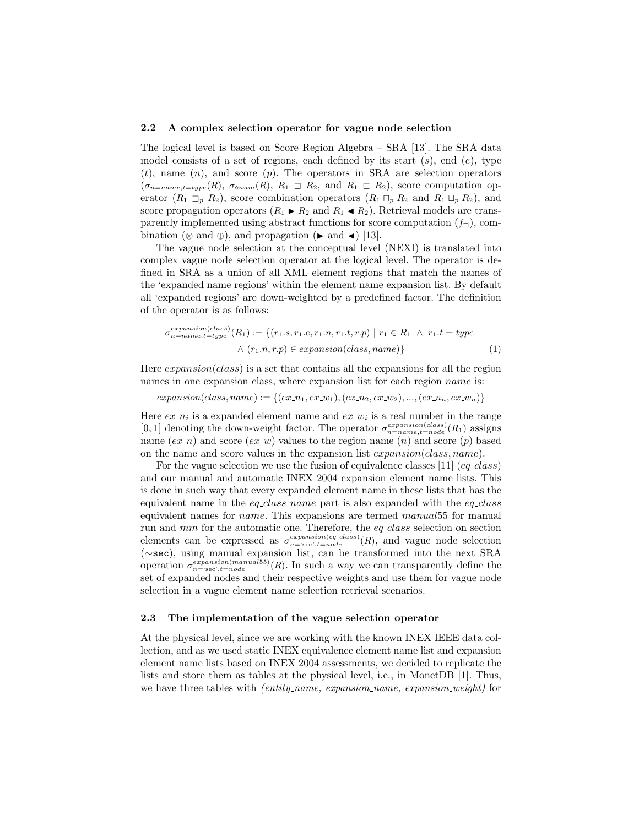#### 2.2 A complex selection operator for vague node selection

The logical level is based on Score Region Algebra – SRA [13]. The SRA data model consists of a set of regions, each defined by its start  $(s)$ , end  $(e)$ , type  $(t)$ , name  $(n)$ , and score  $(p)$ . The operators in SRA are selection operators  $(\sigma_{n=name, t=type}(R), \sigma_{\text{onum}}(R), R_1 \supseteq R_2$ , and  $R_1 \subseteq R_2$ ), score computation operator  $(R_1 \supseteq_p R_2)$ , score combination operators  $(R_1 \supseteq_p R_2$  and  $R_1 \sqcup_p R_2)$ , and score propagation operators  $(R_1 \triangleright R_2$  and  $R_1 \triangleleft R_2)$ . Retrieval models are transparently implemented using abstract functions for score computation  $(f<sub>1</sub>)$ , combination (⊗ and ⊕), and propagation (► and ◄) [13].

The vague node selection at the conceptual level (NEXI) is translated into complex vague node selection operator at the logical level. The operator is defined in SRA as a union of all XML element regions that match the names of the 'expanded name regions' within the element name expansion list. By default all 'expanded regions' are down-weighted by a predefined factor. The definition of the operator is as follows:

$$
\sigma_{n = name, t = type}^{expansion(class)}(R_1) := \{(r_1.s, r_1.e, r_1.n, r_1.t, r.p) \mid r_1 \in R_1 \land r_1.t = type \land (r_1.n, r.p) \in expansion(class, name)\}
$$
\n
$$
\land (r_1.n, r.p) \in expansion(class, name)\}
$$
\n
$$
(1)
$$

Here expansion(class) is a set that contains all the expansions for all the region names in one expansion class, where expansion list for each region *name* is:

 $expansion(class, name) := \{(ex\_n_1, ex\_w_1), (ex\_n_2, ex\_w_2), ..., (ex\_n_n, ex\_w_n)\}\$ 

Here  $ex_{n_i}$  is a expanded element name and  $ex_{n_i}$  is a real number in the range [0, 1] denoting the down-weight factor. The operator  $\sigma_{n=name,t=node}^{expansion(class)}(R_1)$  assigns name  $(ex_{n})$  and score  $(ex_{n})$  values to the region name  $(n)$  and score  $(p)$  based on the name and score values in the expansion list  $expansion(class, name)$ .

For the vague selection we use the fusion of equivalence classes [11]  $(eq.class)$ and our manual and automatic INEX 2004 expansion element name lists. This is done in such way that every expanded element name in these lists that has the equivalent name in the eq\_class name part is also expanded with the eq\_class equivalent names for name. This expansions are termed manual55 for manual run and mm for the automatic one. Therefore, the eq\_class selection on section elements can be expressed as  $\sigma_{n=\text{sec},t=node}^{expansion(eq\_class)}(R)$ , and vague node selection (∼sec), using manual expansion list, can be transformed into the next SRA operation  $\sigma_{n=\text{sec'},t=node}^{expansion(manual55)}(R)$ . In such a way we can transparently define the set of expanded nodes and their respective weights and use them for vague node selection in a vague element name selection retrieval scenarios.

#### 2.3 The implementation of the vague selection operator

At the physical level, since we are working with the known INEX IEEE data collection, and as we used static INEX equivalence element name list and expansion element name lists based on INEX 2004 assessments, we decided to replicate the lists and store them as tables at the physical level, i.e., in MonetDB [1]. Thus, we have three tables with  $(entity_name, expansion_name, expansion-weight)$  for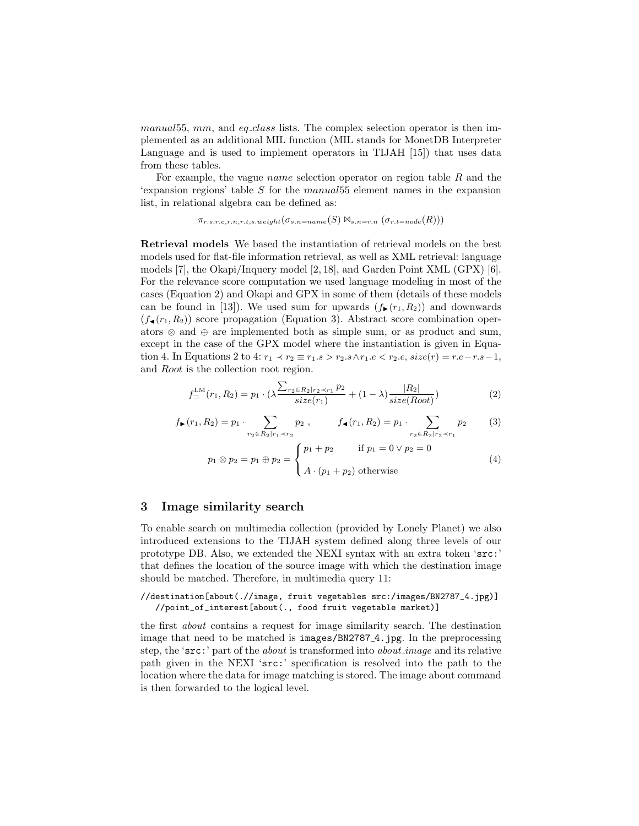manual 55, mm, and eq class lists. The complex selection operator is then implemented as an additional MIL function (MIL stands for MonetDB Interpreter Language and is used to implement operators in TIJAH [15]) that uses data from these tables.

For example, the vague *name* selection operator on region table  $R$  and the 'expansion regions' table S for the manual55 element names in the expansion list, in relational algebra can be defined as:

 $\pi_{r,s,r,e,r,n,r,t,s,weight}(\sigma_{s,n=name}(S) \Join_{s,n=r,n} (\sigma_{r,t=node}(R)))$ 

Retrieval models We based the instantiation of retrieval models on the best models used for flat-file information retrieval, as well as XML retrieval: language models [7], the Okapi/Inquery model [2, 18], and Garden Point XML (GPX) [6]. For the relevance score computation we used language modeling in most of the cases (Equation 2) and Okapi and GPX in some of them (details of these models can be found in [13]). We used sum for upwards  $(f_{\blacktriangleright}(r_1, R_2))$  and downwards  $(f_{\blacktriangleleft}(r_1, R_2))$  score propagation (Equation 3). Abstract score combination operators ⊗ and ⊕ are implemented both as simple sum, or as product and sum, except in the case of the GPX model where the instantiation is given in Equation 4. In Equations 2 to 4:  $r_1 \prec r_2 \equiv r_1.s > r_2.s \land r_1.e < r_2.e, size(r) = r.e - r.s - 1$ , and Root is the collection root region.

$$
f_{\square}^{\text{LM}}(r_1, R_2) = p_1 \cdot (\lambda \frac{\sum_{r_2 \in R_2 | r_2 \prec r_1} p_2}{size(r_1)} + (1 - \lambda) \frac{|R_2|}{size(Root)})
$$
(2)

$$
f_{\blacktriangleright}(r_1, R_2) = p_1 \cdot \sum_{r_2 \in R_2 | r_1 \prec r_2} p_2 , \qquad f_{\blacktriangleleft}(r_1, R_2) = p_1 \cdot \sum_{r_2 \in R_2 | r_2 \prec r_1} p_2 . \tag{3}
$$
  
\n
$$
p_1 \otimes p_2 = p_1 \oplus p_2 = \begin{cases} p_1 + p_2 & \text{if } p_1 = 0 \lor p_2 = 0 \\ A \cdot (p_1 + p_2) & \text{otherwise} \end{cases} \tag{4}
$$

### 3 Image similarity search

To enable search on multimedia collection (provided by Lonely Planet) we also introduced extensions to the TIJAH system defined along three levels of our prototype DB. Also, we extended the NEXI syntax with an extra token 'src:' that defines the location of the source image with which the destination image should be matched. Therefore, in multimedia query 11:

### //destination[about(.//image, fruit vegetables src:/images/BN2787\_4.jpg)] //point\_of\_interest[about(., food fruit vegetable market)]

the first about contains a request for image similarity search. The destination image that need to be matched is images/BN2787 4.jpg. In the preprocessing step, the 'src:' part of the *about* is transformed into *about image* and its relative path given in the NEXI 'src:' specification is resolved into the path to the location where the data for image matching is stored. The image about command is then forwarded to the logical level.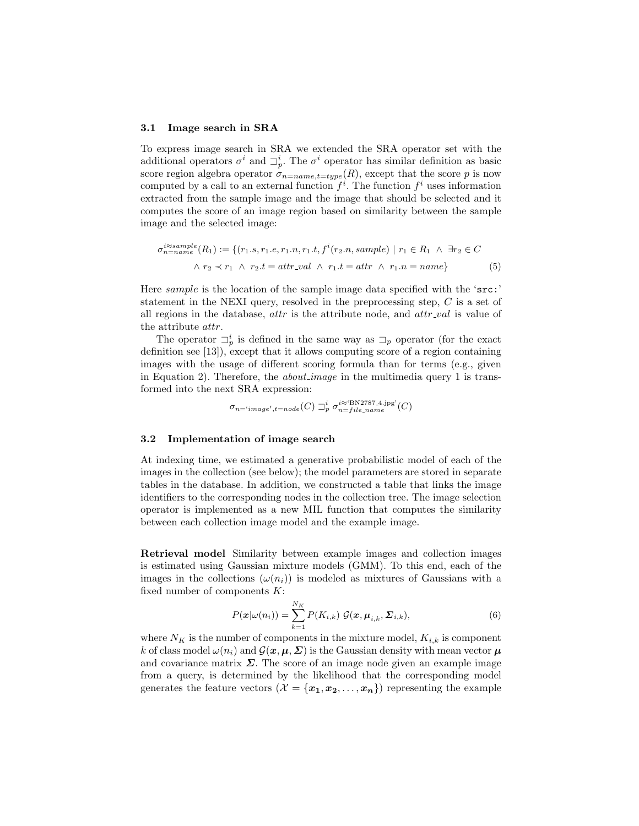#### 3.1 Image search in SRA

To express image search in SRA we extended the SRA operator set with the additional operators  $\sigma^i$  and  $\Box_p^i$ . The  $\sigma^i$  operator has similar definition as basic score region algebra operator  $\sigma_{n=name,t=type}(R)$ , except that the score p is now computed by a call to an external function  $f^i$ . The function  $f^i$  uses information extracted from the sample image and the image that should be selected and it computes the score of an image region based on similarity between the sample image and the selected image:

$$
\sigma_{n=\text{name}}^{i\approx sample}(R_1) := \{ (r_1.s, r_1.e, r_1.n, r_1.t, f^i(r_2.n, sample) \mid r_1 \in R_1 \land \exists r_2 \in C
$$
  
 
$$
\land r_2 \prec r_1 \land r_2.t = attr\_val \land r_1.t = attr \land r_1.n = name \}
$$
 (5)

Here sample is the location of the sample image data specified with the 'src:' statement in the NEXI query, resolved in the preprocessing step, C is a set of all regions in the database,  $attr$  is the attribute node, and  $attr\_val$  is value of the attribute attr.

The operator  $\Box_p^i$  is defined in the same way as  $\Box_p$  operator (for the exact definition see [13]), except that it allows computing score of a region containing images with the usage of different scoring formula than for terms (e.g., given in Equation 2). Therefore, the *about image* in the multimedia query 1 is transformed into the next SRA expression:

$$
\sigma_{n = \text{``image',}t = node}(C) \sqsupseteq_p^i \sigma_{n = file.name}^{i \approx \text{'}B N 2787.4.\text{ips}^i}(C)
$$

#### 3.2 Implementation of image search

At indexing time, we estimated a generative probabilistic model of each of the images in the collection (see below); the model parameters are stored in separate tables in the database. In addition, we constructed a table that links the image identifiers to the corresponding nodes in the collection tree. The image selection operator is implemented as a new MIL function that computes the similarity between each collection image model and the example image.

Retrieval model Similarity between example images and collection images is estimated using Gaussian mixture models (GMM). To this end, each of the images in the collections  $(\omega(n_i))$  is modeled as mixtures of Gaussians with a fixed number of components  $K$ :

$$
P(\boldsymbol{x}|\omega(n_i)) = \sum_{k=1}^{N_K} P(K_{i,k}) \mathcal{G}(\boldsymbol{x}, \boldsymbol{\mu}_{i,k}, \boldsymbol{\Sigma}_{i,k}),
$$
\n(6)

where  $N_K$  is the number of components in the mixture model,  $K_{i,k}$  is component k of class model  $\omega(n_i)$  and  $\mathcal{G}(x, \mu, \Sigma)$  is the Gaussian density with mean vector  $\mu$ and covariance matrix  $\Sigma$ . The score of an image node given an example image from a query, is determined by the likelihood that the corresponding model generates the feature vectors  $(\mathcal{X} = {\mathbf{x}_1, x_2, ..., x_n}$  representing the example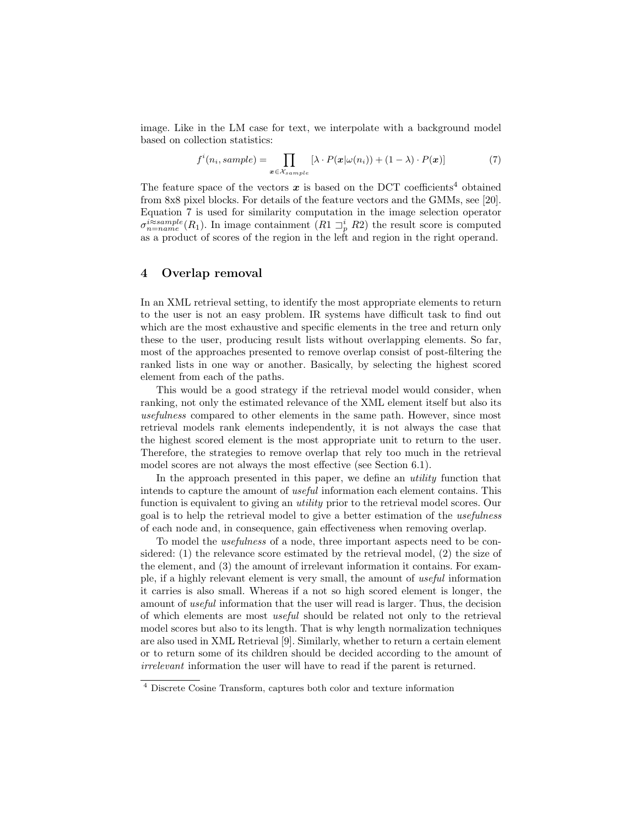image. Like in the LM case for text, we interpolate with a background model based on collection statistics:

$$
f^{i}(n_{i}, sample) = \prod_{\boldsymbol{x} \in \mathcal{X}_{sample}} [\lambda \cdot P(\boldsymbol{x}|\omega(n_{i})) + (1 - \lambda) \cdot P(\boldsymbol{x})] \tag{7}
$$

The feature space of the vectors  $\boldsymbol{x}$  is based on the DCT coefficients<sup>4</sup> obtained from 8x8 pixel blocks. For details of the feature vectors and the GMMs, see [20]. Equation 7 is used for similarity computation in the image selection operator  $\sigma_{n=name}^{i\approx sample}(R_1)$ . In image containment  $(R1 \rightrightarrows_p^i R2)$  the result score is computed as a product of scores of the region in the left and region in the right operand.

### 4 Overlap removal

In an XML retrieval setting, to identify the most appropriate elements to return to the user is not an easy problem. IR systems have difficult task to find out which are the most exhaustive and specific elements in the tree and return only these to the user, producing result lists without overlapping elements. So far, most of the approaches presented to remove overlap consist of post-filtering the ranked lists in one way or another. Basically, by selecting the highest scored element from each of the paths.

This would be a good strategy if the retrieval model would consider, when ranking, not only the estimated relevance of the XML element itself but also its usefulness compared to other elements in the same path. However, since most retrieval models rank elements independently, it is not always the case that the highest scored element is the most appropriate unit to return to the user. Therefore, the strategies to remove overlap that rely too much in the retrieval model scores are not always the most effective (see Section 6.1).

In the approach presented in this paper, we define an *utility* function that intends to capture the amount of *useful* information each element contains. This function is equivalent to giving an *utility* prior to the retrieval model scores. Our goal is to help the retrieval model to give a better estimation of the usefulness of each node and, in consequence, gain effectiveness when removing overlap.

To model the usefulness of a node, three important aspects need to be considered: (1) the relevance score estimated by the retrieval model, (2) the size of the element, and (3) the amount of irrelevant information it contains. For example, if a highly relevant element is very small, the amount of useful information it carries is also small. Whereas if a not so high scored element is longer, the amount of useful information that the user will read is larger. Thus, the decision of which elements are most useful should be related not only to the retrieval model scores but also to its length. That is why length normalization techniques are also used in XML Retrieval [9]. Similarly, whether to return a certain element or to return some of its children should be decided according to the amount of irrelevant information the user will have to read if the parent is returned.

<sup>4</sup> Discrete Cosine Transform, captures both color and texture information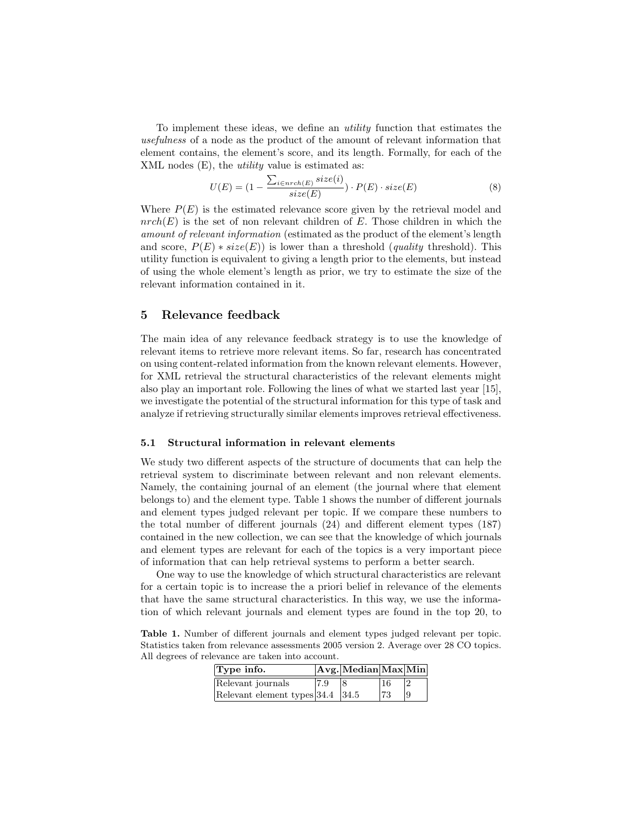To implement these ideas, we define an utility function that estimates the usefulness of a node as the product of the amount of relevant information that element contains, the element's score, and its length. Formally, for each of the  $XML$  nodes  $(E)$ , the *utility* value is estimated as:

$$
U(E) = (1 - \frac{\sum_{i \in nrch(E)} size(i)}{size(E)}) \cdot P(E) \cdot size(E)
$$
\n(8)

Where  $P(E)$  is the estimated relevance score given by the retrieval model and  $nrch(E)$  is the set of non relevant children of E. Those children in which the amount of relevant information (estimated as the product of the element's length and score,  $P(E) * size(E)$  is lower than a threshold (*quality* threshold). This utility function is equivalent to giving a length prior to the elements, but instead of using the whole element's length as prior, we try to estimate the size of the relevant information contained in it.

# 5 Relevance feedback

The main idea of any relevance feedback strategy is to use the knowledge of relevant items to retrieve more relevant items. So far, research has concentrated on using content-related information from the known relevant elements. However, for XML retrieval the structural characteristics of the relevant elements might also play an important role. Following the lines of what we started last year [15], we investigate the potential of the structural information for this type of task and analyze if retrieving structurally similar elements improves retrieval effectiveness.

#### 5.1 Structural information in relevant elements

We study two different aspects of the structure of documents that can help the retrieval system to discriminate between relevant and non relevant elements. Namely, the containing journal of an element (the journal where that element belongs to) and the element type. Table 1 shows the number of different journals and element types judged relevant per topic. If we compare these numbers to the total number of different journals (24) and different element types (187) contained in the new collection, we can see that the knowledge of which journals and element types are relevant for each of the topics is a very important piece of information that can help retrieval systems to perform a better search.

One way to use the knowledge of which structural characteristics are relevant for a certain topic is to increase the a priori belief in relevance of the elements that have the same structural characteristics. In this way, we use the information of which relevant journals and element types are found in the top 20, to

Table 1. Number of different journals and element types judged relevant per topic. Statistics taken from relevance assessments 2005 version 2. Average over 28 CO topics. All degrees of relevance are taken into account.

| Type info.                           |     | Avg. Median Max Min |    |   |
|--------------------------------------|-----|---------------------|----|---|
| Relevant journals                    | 7.9 |                     | 16 |   |
| Relevant element types $34.4$   34.5 |     |                     | 73 | 9 |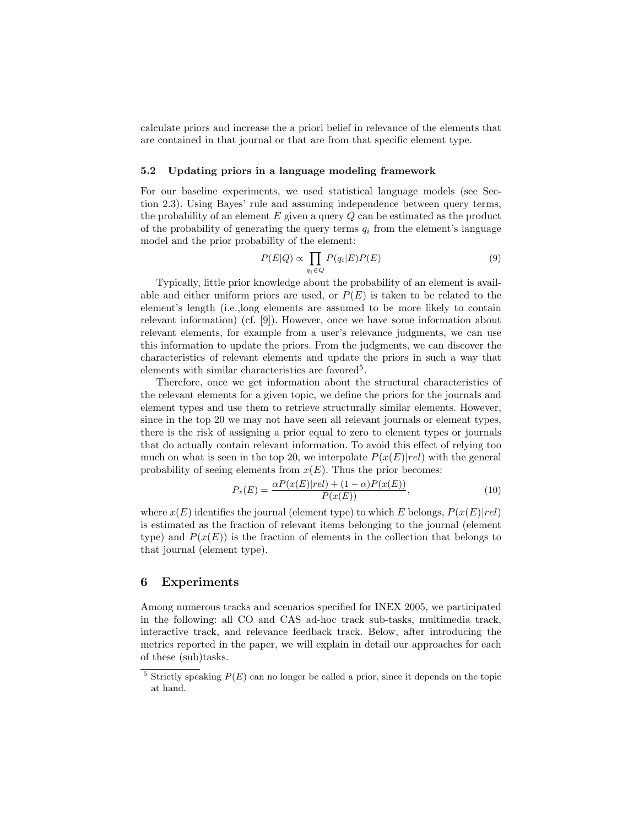calculate priors and increase the a priori belief in relevance of the elements that are contained in that journal or that are from that specific element type.

#### 5.2 Updating priors in a language modeling framework

For our baseline experiments, we used statistical language models (see Section 2.3). Using Bayes' rule and assuming independence between query terms, the probability of an element  $E$  given a query  $Q$  can be estimated as the product of the probability of generating the query terms  $q_i$  from the element's language model and the prior probability of the element:

$$
P(E|Q) \propto \prod_{q_i \in Q} P(q_i|E)P(E) \tag{9}
$$

Typically, little prior knowledge about the probability of an element is available and either uniform priors are used, or  $P(E)$  is taken to be related to the element's length (i.e.,long elements are assumed to be more likely to contain relevant information) (cf. [9]). However, once we have some information about relevant elements, for example from a user's relevance judgments, we can use this information to update the priors. From the judgments, we can discover the characteristics of relevant elements and update the priors in such a way that elements with similar characteristics are favored<sup>5</sup>.

Therefore, once we get information about the structural characteristics of the relevant elements for a given topic, we define the priors for the journals and element types and use them to retrieve structurally similar elements. However, since in the top 20 we may not have seen all relevant journals or element types, there is the risk of assigning a prior equal to zero to element types or journals that do actually contain relevant information. To avoid this effect of relying too much on what is seen in the top 20, we interpolate  $P(x(E)|rel)$  with the general probability of seeing elements from  $x(E)$ . Thus the prior becomes:

$$
P_x(E) = \frac{\alpha P(x(E)|rel) + (1 - \alpha)P(x(E))}{P(x(E))},\tag{10}
$$

where  $x(E)$  identifies the journal (element type) to which E belongs,  $P(x(E)|rel)$ is estimated as the fraction of relevant items belonging to the journal (element type) and  $P(x(E))$  is the fraction of elements in the collection that belongs to that journal (element type).

## 6 Experiments

Among numerous tracks and scenarios specified for INEX 2005, we participated in the following: all CO and CAS ad-hoc track sub-tasks, multimedia track, interactive track, and relevance feedback track. Below, after introducing the metrics reported in the paper, we will explain in detail our approaches for each of these (sub)tasks.

 $5$  Strictly speaking  $P(E)$  can no longer be called a prior, since it depends on the topic at hand.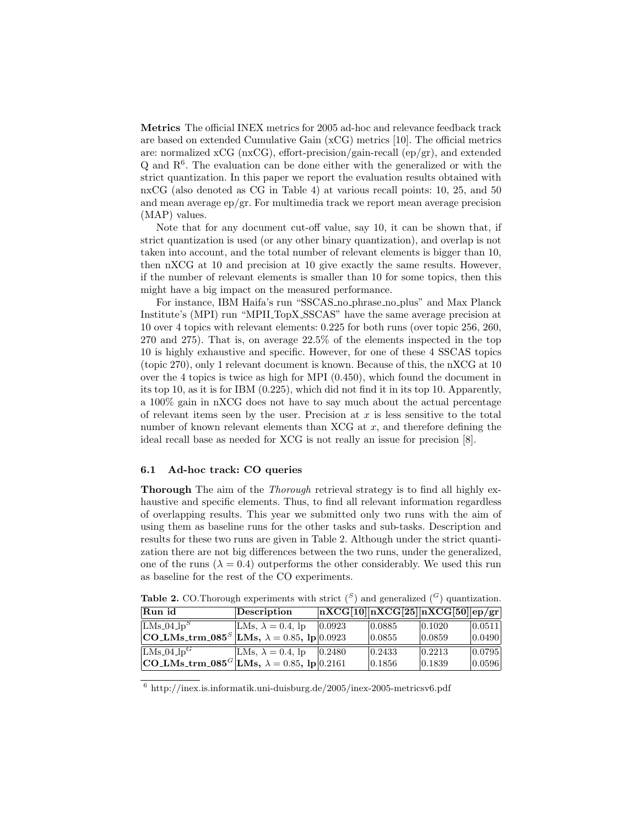Metrics The official INEX metrics for 2005 ad-hoc and relevance feedback track are based on extended Cumulative Gain (xCG) metrics [10]. The official metrics are: normalized xCG ( $\rm nxcG$ ), effort-precision/gain-recall (ep/gr), and extended  $Q$  and  $R<sup>6</sup>$ . The evaluation can be done either with the generalized or with the strict quantization. In this paper we report the evaluation results obtained with nxCG (also denoted as CG in Table 4) at various recall points: 10, 25, and 50 and mean average ep/gr. For multimedia track we report mean average precision (MAP) values.

Note that for any document cut-off value, say 10, it can be shown that, if strict quantization is used (or any other binary quantization), and overlap is not taken into account, and the total number of relevant elements is bigger than 10, then nXCG at 10 and precision at 10 give exactly the same results. However, if the number of relevant elements is smaller than 10 for some topics, then this might have a big impact on the measured performance.

For instance, IBM Haifa's run "SSCAS no phrase no plus" and Max Planck Institute's (MPI) run "MPII TopX SSCAS" have the same average precision at 10 over 4 topics with relevant elements: 0.225 for both runs (over topic 256, 260, 270 and 275). That is, on average 22.5% of the elements inspected in the top 10 is highly exhaustive and specific. However, for one of these 4 SSCAS topics (topic 270), only 1 relevant document is known. Because of this, the nXCG at 10 over the 4 topics is twice as high for MPI (0.450), which found the document in its top 10, as it is for IBM (0.225), which did not find it in its top 10. Apparently, a 100% gain in nXCG does not have to say much about the actual percentage of relevant items seen by the user. Precision at  $x$  is less sensitive to the total number of known relevant elements than XCG at  $x$ , and therefore defining the ideal recall base as needed for XCG is not really an issue for precision [8].

### 6.1 Ad-hoc track: CO queries

**Thorough** The aim of the *Thorough* retrieval strategy is to find all highly exhaustive and specific elements. Thus, to find all relevant information regardless of overlapping results. This year we submitted only two runs with the aim of using them as baseline runs for the other tasks and sub-tasks. Description and results for these two runs are given in Table 2. Although under the strict quantization there are not big differences between the two runs, under the generalized, one of the runs ( $\lambda = 0.4$ ) outperforms the other considerably. We used this run as baseline for the rest of the CO experiments.

| Run id                                                         | Description                          | $\sqrt{\frac{nXCG[10]}{nXCG[25]} \sqrt{nXCG[50]} \exp\sqrt{gr}}$ |        |                  |        |
|----------------------------------------------------------------|--------------------------------------|------------------------------------------------------------------|--------|------------------|--------|
| $LMs_04-lp^S$                                                  | LMs, $\lambda = 0.4$ , lp            | 0.0923                                                           | 0.0885 | $ 0.1020\rangle$ | 0.0511 |
| CO_LMs_trm_085 <sup>S</sup> LMs, $\lambda = 0.85$ , lp 0.0923  |                                      |                                                                  | 0.0855 | 0.0859           | 0.0490 |
| $LMs_04l p^G$                                                  | LMs, $\lambda = 0.4$ , lp $ 0.2480 $ |                                                                  | 0.2433 | 0.2213           | 0.0795 |
| CO_LMs_trm_085 <sup>G</sup>  LMs, $\lambda = 0.85$ , lp 0.2161 |                                      |                                                                  | 0.1856 | 0.1839           | 0.0596 |

**Table 2.** CO. Thorough experiments with strict  $\binom{S}{i}$  and generalized  $\binom{G}{i}$  quantization.

 $6$  http://inex.is.informatik.uni-duisburg.de/2005/inex-2005-metricsv6.pdf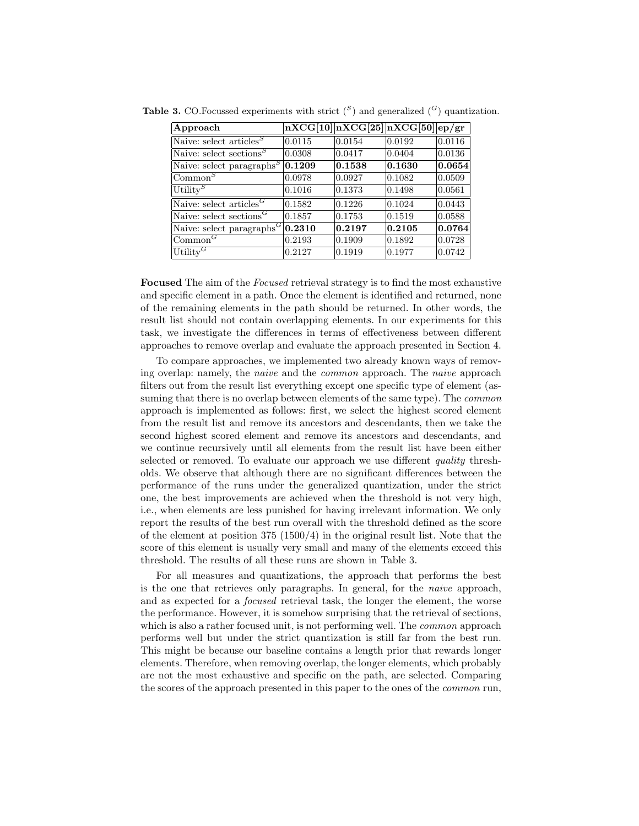| Approach                                           |        |        | $\lceil \text{nXCG}\rceil 10 \rceil \lceil \text{nXCG}\rceil 25 \rceil \lceil \text{nXCG}\rceil 50 \rceil \lceil \text{ep}/\text{gr}$ |        |
|----------------------------------------------------|--------|--------|---------------------------------------------------------------------------------------------------------------------------------------|--------|
| Naive: select $\arccos^S$                          | 0.0115 | 0.0154 | 0.0192                                                                                                                                | 0.0116 |
| Naive: select sections <sup>S</sup>                | 0.0308 | 0.0417 | 0.0404                                                                                                                                | 0.0136 |
| Naive: select paragraphs <sup>S</sup>              | 0.1209 | 0.1538 | 0.1630                                                                                                                                | 0.0654 |
| $\overline{\text{Common}^S}$                       | 0.0978 | 0.0927 | 0.1082                                                                                                                                | 0.0509 |
| Utility <sup>S</sup>                               | 0.1016 | 0.1373 | 0.1498                                                                                                                                | 0.0561 |
| Naive: select $\arccos G$                          | 0.1582 | 0.1226 | 0.1024                                                                                                                                | 0.0443 |
| Naive: select sections <sup>G</sup>                | 0.1857 | 0.1753 | 0.1519                                                                                                                                | 0.0588 |
| Naive: select paragraphs <sup><math>G</math></sup> | 0.2310 | 0.2197 | 0.2105                                                                                                                                | 0.0764 |
| Common <sup>G</sup>                                | 0.2193 | 0.1909 | 0.1892                                                                                                                                | 0.0728 |
| Utility <sup><i>G</i></sup>                        | 0.2127 | 0.1919 | 0.1977                                                                                                                                | 0.0742 |

**Table 3.** CO. Focussed experiments with strict  $\binom{S}{k}$  and generalized  $\binom{G}{k}$  quantization.

Focused The aim of the Focused retrieval strategy is to find the most exhaustive and specific element in a path. Once the element is identified and returned, none of the remaining elements in the path should be returned. In other words, the result list should not contain overlapping elements. In our experiments for this task, we investigate the differences in terms of effectiveness between different approaches to remove overlap and evaluate the approach presented in Section 4.

To compare approaches, we implemented two already known ways of removing overlap: namely, the naive and the common approach. The naive approach filters out from the result list everything except one specific type of element (assuming that there is no overlap between elements of the same type). The *common* approach is implemented as follows: first, we select the highest scored element from the result list and remove its ancestors and descendants, then we take the second highest scored element and remove its ancestors and descendants, and we continue recursively until all elements from the result list have been either selected or removed. To evaluate our approach we use different *quality* thresholds. We observe that although there are no significant differences between the performance of the runs under the generalized quantization, under the strict one, the best improvements are achieved when the threshold is not very high, i.e., when elements are less punished for having irrelevant information. We only report the results of the best run overall with the threshold defined as the score of the element at position 375 (1500/4) in the original result list. Note that the score of this element is usually very small and many of the elements exceed this threshold. The results of all these runs are shown in Table 3.

For all measures and quantizations, the approach that performs the best is the one that retrieves only paragraphs. In general, for the naive approach, and as expected for a focused retrieval task, the longer the element, the worse the performance. However, it is somehow surprising that the retrieval of sections, which is also a rather focused unit, is not performing well. The *common* approach performs well but under the strict quantization is still far from the best run. This might be because our baseline contains a length prior that rewards longer elements. Therefore, when removing overlap, the longer elements, which probably are not the most exhaustive and specific on the path, are selected. Comparing the scores of the approach presented in this paper to the ones of the common run,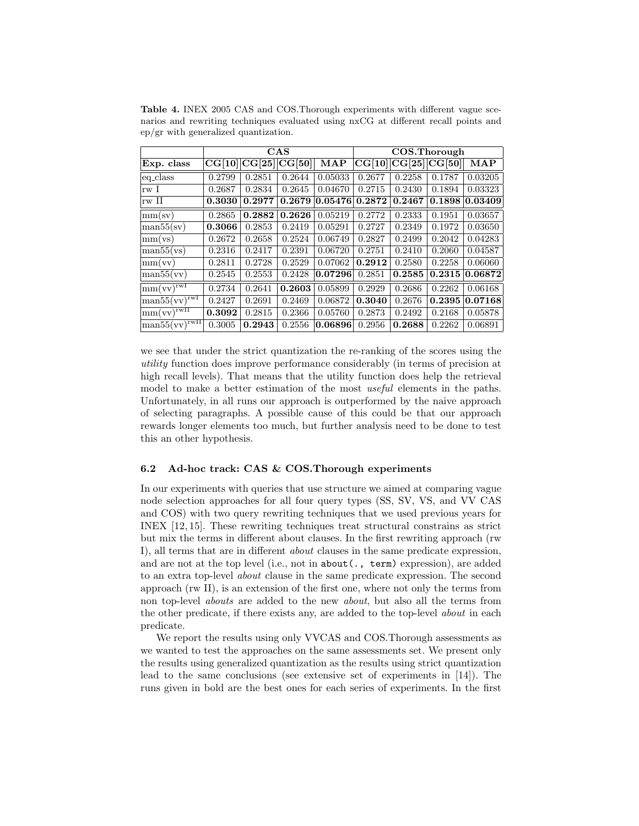Table 4. INEX 2005 CAS and COS.Thorough experiments with different vague scenarios and rewriting techniques evaluated using nxCG at different recall points and ep/gr with generalized quantization.

|                                                        | CAS    |        |                 | COS.Thorough |        |                                     |        |                   |
|--------------------------------------------------------|--------|--------|-----------------|--------------|--------|-------------------------------------|--------|-------------------|
| Exp. class                                             | CG[10] |        | CG[25]   CG[50] | <b>MAP</b>   | CG[10] | $ \mathrm{CG}[25] \mathrm{CG}[50] $ |        | $\bf MAP$         |
| eq_class                                               | 0.2799 | 0.2851 | 0.2644          | 0.05033      | 0.2677 | 0.2258                              | 0.1787 | 0.03205           |
| rw I                                                   | 0.2687 | 0.2834 | 0.2645          | 0.04670      | 0.2715 | 0.2430                              | 0.1894 | 0.03323           |
| rw II                                                  | 0.3030 | 0.2977 | 0.2679          | 0.05476      | 0.2872 | 0.2467                              | 0.1898 | 0.03409           |
| mm(sv)                                                 | 0.2865 | 0.2882 | 0.2626          | 0.05219      | 0.2772 | 0.2333                              | 0.1951 | 0.03657           |
| man55(sv)                                              | 0.3066 | 0.2853 | 0.2419          | 0.05291      | 0.2727 | 0.2349                              | 0.1972 | 0.03650           |
| mm(vs)                                                 | 0.2672 | 0.2658 | 0.2524          | 0.06749      | 0.2827 | 0.2499                              | 0.2042 | 0.04283           |
| man55(vs)                                              | 0.2316 | 0.2417 | 0.2391          | 0.06720      | 0.2751 | 0.2410                              | 0.2060 | 0.04587           |
| mm(vv)                                                 | 0.2811 | 0.2728 | 0.2529          | 0.07062      | 0.2912 | 0.2580                              | 0.2258 | 0.06060           |
| man55(vv)                                              | 0.2545 | 0.2553 | 0.2428          | 0.07296      | 0.2851 | 0.2585                              | 0.2315 | $ 0.06872\rangle$ |
| $\mathrm{lmm}(\overline{\mathrm{vv}})^{\mathrm{rwt}}$  | 0.2734 | 0.2641 | 0.2603          | 0.05899      | 0.2929 | 0.2686                              | 0.2262 | 0.06168           |
| $\text{man}55\overline{\text{(vv)}}^{\text{rwI}}$      | 0.2427 | 0.2691 | 0.2469          | 0.06872      | 0.3040 | 0.2676                              | 0.2395 | 0.07168           |
| $\text{Im}(\text{vv})^{\overline{\text{rw}}\text{II}}$ | 0.3092 | 0.2815 | 0.2366          | 0.05760      | 0.2873 | 0.2492                              | 0.2168 | 0.05878           |
| $\text{man55(vv)}^{\text{rwII}}$                       | 0.3005 | 0.2943 | 0.2556          | 0.06896      | 0.2956 | 0.2688                              | 0.2262 | 0.06891           |

we see that under the strict quantization the re-ranking of the scores using the utility function does improve performance considerably (in terms of precision at high recall levels). That means that the utility function does help the retrieval model to make a better estimation of the most *useful* elements in the paths. Unfortunately, in all runs our approach is outperformed by the naive approach of selecting paragraphs. A possible cause of this could be that our approach rewards longer elements too much, but further analysis need to be done to test this an other hypothesis.

### 6.2 Ad-hoc track: CAS & COS.Thorough experiments

In our experiments with queries that use structure we aimed at comparing vague node selection approaches for all four query types (SS, SV, VS, and VV CAS and COS) with two query rewriting techniques that we used previous years for INEX [12, 15]. These rewriting techniques treat structural constrains as strict but mix the terms in different about clauses. In the first rewriting approach (rw I), all terms that are in different about clauses in the same predicate expression, and are not at the top level (i.e., not in about(., term) expression), are added to an extra top-level about clause in the same predicate expression. The second approach (rw II), is an extension of the first one, where not only the terms from non top-level abouts are added to the new about, but also all the terms from the other predicate, if there exists any, are added to the top-level about in each predicate.

We report the results using only VVCAS and COS.Thorough assessments as we wanted to test the approaches on the same assessments set. We present only the results using generalized quantization as the results using strict quantization lead to the same conclusions (see extensive set of experiments in [14]). The runs given in bold are the best ones for each series of experiments. In the first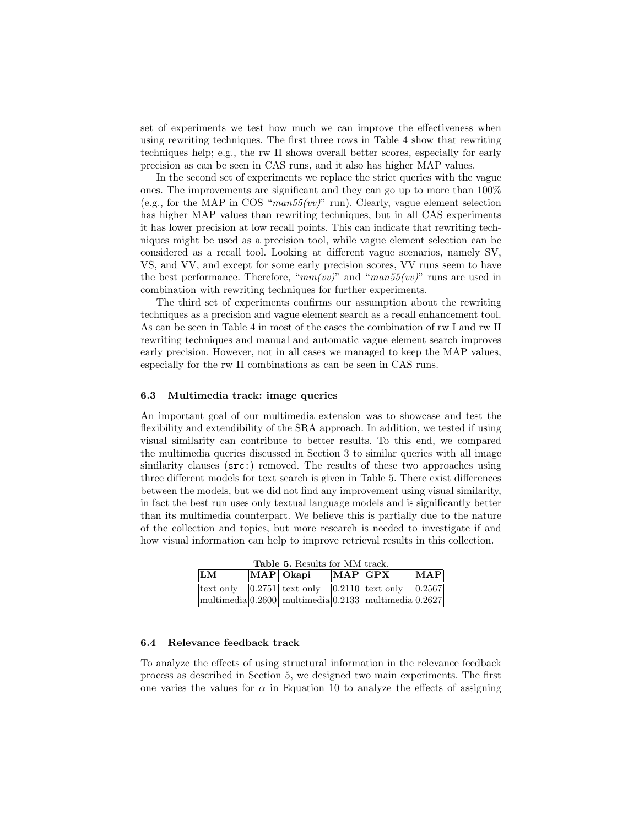set of experiments we test how much we can improve the effectiveness when using rewriting techniques. The first three rows in Table 4 show that rewriting techniques help; e.g., the rw II shows overall better scores, especially for early precision as can be seen in CAS runs, and it also has higher MAP values.

In the second set of experiments we replace the strict queries with the vague ones. The improvements are significant and they can go up to more than 100% (e.g., for the MAP in COS " $man55(vv)$ " run). Clearly, vague element selection has higher MAP values than rewriting techniques, but in all CAS experiments it has lower precision at low recall points. This can indicate that rewriting techniques might be used as a precision tool, while vague element selection can be considered as a recall tool. Looking at different vague scenarios, namely SV, VS, and VV, and except for some early precision scores, VV runs seem to have the best performance. Therefore, " $mm(vv)$ " and " $man55(vv)$ " runs are used in combination with rewriting techniques for further experiments.

The third set of experiments confirms our assumption about the rewriting techniques as a precision and vague element search as a recall enhancement tool. As can be seen in Table 4 in most of the cases the combination of rw I and rw II rewriting techniques and manual and automatic vague element search improves early precision. However, not in all cases we managed to keep the MAP values, especially for the rw II combinations as can be seen in CAS runs.

### 6.3 Multimedia track: image queries

An important goal of our multimedia extension was to showcase and test the flexibility and extendibility of the SRA approach. In addition, we tested if using visual similarity can contribute to better results. To this end, we compared the multimedia queries discussed in Section 3 to similar queries with all image similarity clauses ( $src:$ ) removed. The results of these two approaches using three different models for text search is given in Table 5. There exist differences between the models, but we did not find any improvement using visual similarity, in fact the best run uses only textual language models and is significantly better than its multimedia counterpart. We believe this is partially due to the nature of the collection and topics, but more research is needed to investigate if and how visual information can help to improve retrieval results in this collection.

| Table 5. Results for MM track.                                             |  |           |                             |  |     |  |  |
|----------------------------------------------------------------------------|--|-----------|-----------------------------|--|-----|--|--|
| LM                                                                         |  | MAP Qkapi | $ \text{MAP}   \text{GPX} $ |  | MAP |  |  |
| $\frac{3.2567}{\text{text only}}$ 0.2751 text only 0.2110 text only 0.2567 |  |           |                             |  |     |  |  |
| $multimedia  0.2600   multimedia  0.2133   multimedia  0.2627 $            |  |           |                             |  |     |  |  |

#### 6.4 Relevance feedback track

To analyze the effects of using structural information in the relevance feedback process as described in Section 5, we designed two main experiments. The first one varies the values for  $\alpha$  in Equation 10 to analyze the effects of assigning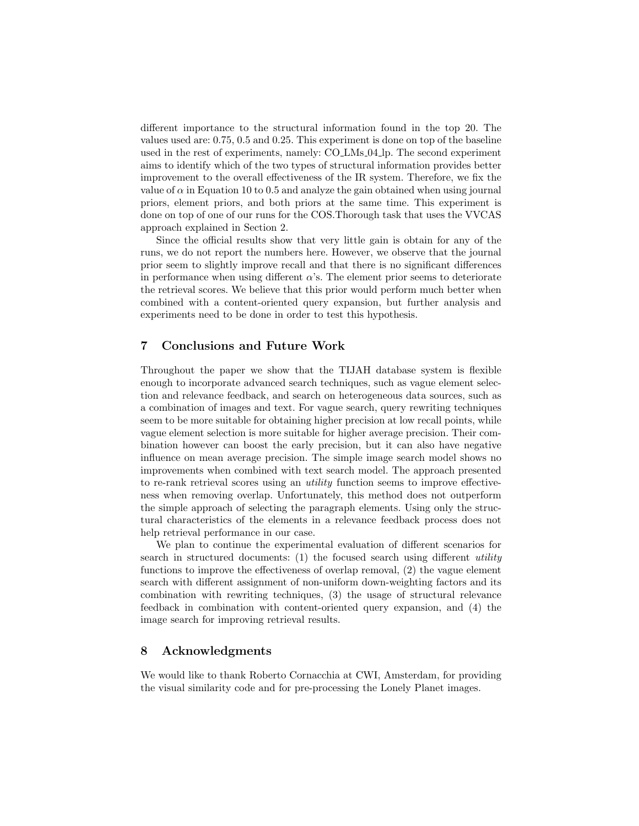different importance to the structural information found in the top 20. The values used are: 0.75, 0.5 and 0.25. This experiment is done on top of the baseline used in the rest of experiments, namely: CO LMs 04 lp. The second experiment aims to identify which of the two types of structural information provides better improvement to the overall effectiveness of the IR system. Therefore, we fix the value of  $\alpha$  in Equation 10 to 0.5 and analyze the gain obtained when using journal priors, element priors, and both priors at the same time. This experiment is done on top of one of our runs for the COS.Thorough task that uses the VVCAS approach explained in Section 2.

Since the official results show that very little gain is obtain for any of the runs, we do not report the numbers here. However, we observe that the journal prior seem to slightly improve recall and that there is no significant differences in performance when using different  $\alpha$ 's. The element prior seems to deteriorate the retrieval scores. We believe that this prior would perform much better when combined with a content-oriented query expansion, but further analysis and experiments need to be done in order to test this hypothesis.

# 7 Conclusions and Future Work

Throughout the paper we show that the TIJAH database system is flexible enough to incorporate advanced search techniques, such as vague element selection and relevance feedback, and search on heterogeneous data sources, such as a combination of images and text. For vague search, query rewriting techniques seem to be more suitable for obtaining higher precision at low recall points, while vague element selection is more suitable for higher average precision. Their combination however can boost the early precision, but it can also have negative influence on mean average precision. The simple image search model shows no improvements when combined with text search model. The approach presented to re-rank retrieval scores using an utility function seems to improve effectiveness when removing overlap. Unfortunately, this method does not outperform the simple approach of selecting the paragraph elements. Using only the structural characteristics of the elements in a relevance feedback process does not help retrieval performance in our case.

We plan to continue the experimental evaluation of different scenarios for search in structured documents: (1) the focused search using different utility functions to improve the effectiveness of overlap removal, (2) the vague element search with different assignment of non-uniform down-weighting factors and its combination with rewriting techniques, (3) the usage of structural relevance feedback in combination with content-oriented query expansion, and (4) the image search for improving retrieval results.

# 8 Acknowledgments

We would like to thank Roberto Cornacchia at CWI, Amsterdam, for providing the visual similarity code and for pre-processing the Lonely Planet images.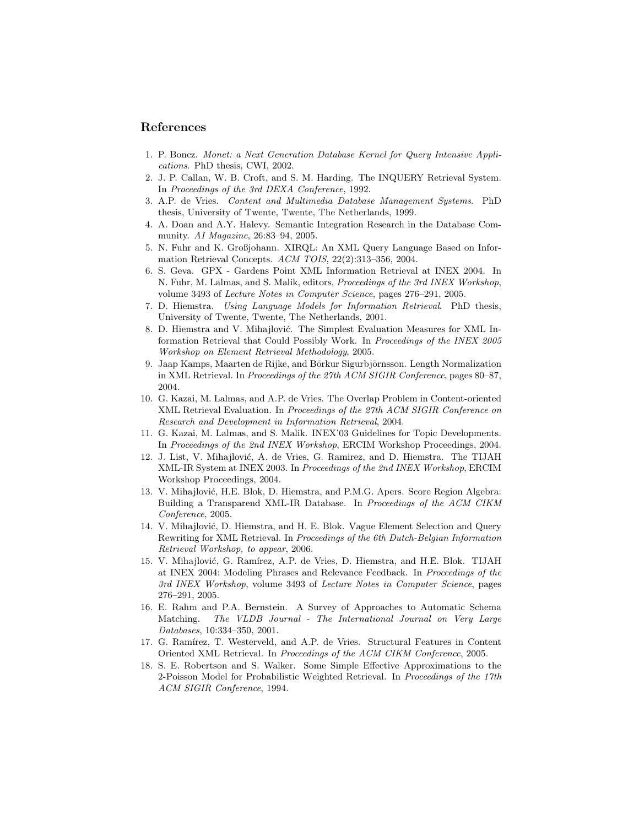### References

- 1. P. Boncz. Monet: a Next Generation Database Kernel for Query Intensive Applications. PhD thesis, CWI, 2002.
- 2. J. P. Callan, W. B. Croft, and S. M. Harding. The INQUERY Retrieval System. In Proceedings of the 3rd DEXA Conference, 1992.
- 3. A.P. de Vries. Content and Multimedia Database Management Systems. PhD thesis, University of Twente, Twente, The Netherlands, 1999.
- 4. A. Doan and A.Y. Halevy. Semantic Integration Research in the Database Community. AI Magazine, 26:83–94, 2005.
- 5. N. Fuhr and K. Großjohann. XIRQL: An XML Query Language Based on Information Retrieval Concepts. ACM TOIS, 22(2):313–356, 2004.
- 6. S. Geva. GPX Gardens Point XML Information Retrieval at INEX 2004. In N. Fuhr, M. Lalmas, and S. Malik, editors, Proceedings of the 3rd INEX Workshop, volume 3493 of Lecture Notes in Computer Science, pages 276–291, 2005.
- 7. D. Hiemstra. Using Language Models for Information Retrieval. PhD thesis, University of Twente, Twente, The Netherlands, 2001.
- 8. D. Hiemstra and V. Mihajlović. The Simplest Evaluation Measures for XML Information Retrieval that Could Possibly Work. In Proceedings of the INEX 2005 Workshop on Element Retrieval Methodology, 2005.
- 9. Jaap Kamps, Maarten de Rijke, and Börkur Sigurbjörnsson. Length Normalization in XML Retrieval. In Proceedings of the 27th ACM SIGIR Conference, pages 80–87, 2004.
- 10. G. Kazai, M. Lalmas, and A.P. de Vries. The Overlap Problem in Content-oriented XML Retrieval Evaluation. In Proceedings of the 27th ACM SIGIR Conference on Research and Development in Information Retrieval, 2004.
- 11. G. Kazai, M. Lalmas, and S. Malik. INEX'03 Guidelines for Topic Developments. In Proceedings of the 2nd INEX Workshop, ERCIM Workshop Proceedings, 2004.
- 12. J. List, V. Mihajlović, A. de Vries, G. Ramirez, and D. Hiemstra. The TIJAH XML-IR System at INEX 2003. In Proceedings of the 2nd INEX Workshop, ERCIM Workshop Proceedings, 2004.
- 13. V. Mihajlović, H.E. Blok, D. Hiemstra, and P.M.G. Apers. Score Region Algebra: Building a Transparend XML-IR Database. In Proceedings of the ACM CIKM Conference, 2005.
- 14. V. Mihajlović, D. Hiemstra, and H. E. Blok. Vague Element Selection and Query Rewriting for XML Retrieval. In Proceedings of the 6th Dutch-Belgian Information Retrieval Workshop, to appear, 2006.
- 15. V. Mihajlović, G. Ramírez, A.P. de Vries, D. Hiemstra, and H.E. Blok. TIJAH at INEX 2004: Modeling Phrases and Relevance Feedback. In Proceedings of the 3rd INEX Workshop, volume 3493 of Lecture Notes in Computer Science, pages 276–291, 2005.
- 16. E. Rahm and P.A. Bernstein. A Survey of Approaches to Automatic Schema Matching. The VLDB Journal - The International Journal on Very Large Databases, 10:334–350, 2001.
- 17. G. Ramírez, T. Westerveld, and A.P. de Vries. Structural Features in Content Oriented XML Retrieval. In Proceedings of the ACM CIKM Conference, 2005.
- 18. S. E. Robertson and S. Walker. Some Simple Effective Approximations to the 2-Poisson Model for Probabilistic Weighted Retrieval. In Proceedings of the 17th ACM SIGIR Conference, 1994.